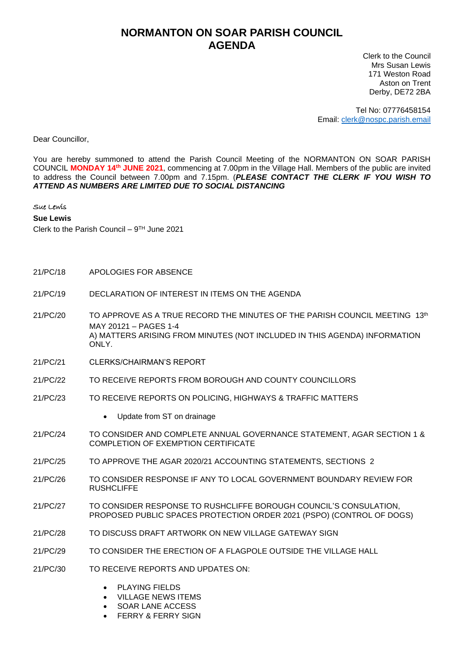## **NORMANTON ON SOAR PARISH COUNCIL AGENDA**

Clerk to the Council Mrs Susan Lewis 171 Weston Road Aston on Trent Derby, DE72 2BA

Tel No: 07776458154 Email: [clerk@nospc.parish.email](mailto:clerk@nospc.parish.email)

Dear Councillor,

You are hereby summoned to attend the Parish Council Meeting of the NORMANTON ON SOAR PARISH COUNCIL **MONDAY 14th JUNE 2021**, commencing at 7.00pm in the Village Hall. Members of the public are invited to address the Council between 7.00pm and 7.15pm. (*PLEASE CONTACT THE CLERK IF YOU WISH TO ATTEND AS NUMBERS ARE LIMITED DUE TO SOCIAL DISTANCING*

## Sue Lewis

**Sue Lewis**

Clerk to the Parish Council – 9 TH June 2021

- 21/PC/18 APOLOGIES FOR ABSENCE
- 21/PC/19 DECLARATION OF INTEREST IN ITEMS ON THE AGENDA
- 21/PC/20 TO APPROVE AS A TRUE RECORD THE MINUTES OF THE PARISH COUNCIL MEETING 13th MAY 20121 – PAGES 1-4 A) MATTERS ARISING FROM MINUTES (NOT INCLUDED IN THIS AGENDA) INFORMATION ONLY.
- 21/PC/21 CLERKS/CHAIRMAN'S REPORT
- 21/PC/22 TO RECEIVE REPORTS FROM BOROUGH AND COUNTY COUNCILLORS
- 21/PC/23 TO RECEIVE REPORTS ON POLICING, HIGHWAYS & TRAFFIC MATTERS
	- Update from ST on drainage
- 21/PC/24 TO CONSIDER AND COMPLETE ANNUAL GOVERNANCE STATEMENT, AGAR SECTION 1 & COMPLETION OF EXEMPTION CERTIFICATE
- 21/PC/25 TO APPROVE THE AGAR 2020/21 ACCOUNTING STATEMENTS, SECTIONS 2
- 21/PC/26 TO CONSIDER RESPONSE IF ANY TO LOCAL GOVERNMENT BOUNDARY REVIEW FOR **RUSHCLIFFE**
- 21/PC/27 TO CONSIDER RESPONSE TO RUSHCLIFFE BOROUGH COUNCIL'S CONSULATION, PROPOSED PUBLIC SPACES PROTECTION ORDER 2021 (PSPO) (CONTROL OF DOGS)
- 21/PC/28 TO DISCUSS DRAFT ARTWORK ON NEW VILLAGE GATEWAY SIGN
- 21/PC/29 TO CONSIDER THE ERECTION OF A FLAGPOLE OUTSIDE THE VILLAGE HALL
- 21/PC/30 TO RECEIVE REPORTS AND UPDATES ON:
	- PLAYING FIELDS
	- VILLAGE NEWS ITEMS
	- SOAR LANE ACCESS
	- **FERRY & FERRY SIGN**